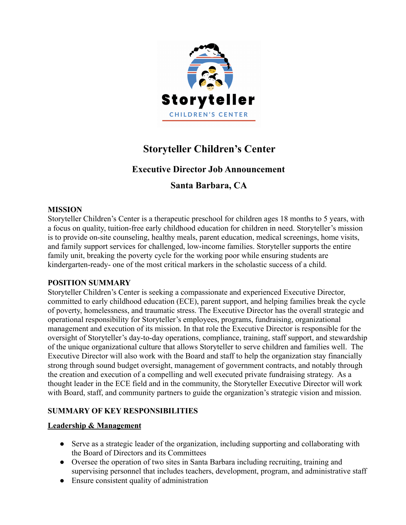

# **Storyteller Children's Center**

# **Executive Director Job Announcement**

# **Santa Barbara, CA**

### **MISSION**

Storyteller Children's Center is a therapeutic preschool for children ages 18 months to 5 years, with a focus on quality, tuition-free early childhood education for children in need. Storyteller's mission is to provide on-site counseling, healthy meals, parent education, medical screenings, home visits, and family support services for challenged, low-income families. Storyteller supports the entire family unit, breaking the poverty cycle for the working poor while ensuring students are kindergarten-ready- one of the most critical markers in the scholastic success of a child.

### **POSITION SUMMARY**

Storyteller Children's Center is seeking a compassionate and experienced Executive Director, committed to early childhood education (ECE), parent support, and helping families break the cycle of poverty, homelessness, and traumatic stress. The Executive Director has the overall strategic and operational responsibility for Storyteller's employees, programs, fundraising, organizational management and execution of its mission. In that role the Executive Director is responsible for the oversight of Storyteller's day-to-day operations, compliance, training, staff support, and stewardship of the unique organizational culture that allows Storyteller to serve children and families well. The Executive Director will also work with the Board and staff to help the organization stay financially strong through sound budget oversight, management of government contracts, and notably through the creation and execution of a compelling and well executed private fundraising strategy. As a thought leader in the ECE field and in the community, the Storyteller Executive Director will work with Board, staff, and community partners to guide the organization's strategic vision and mission.

### **SUMMARY OF KEY RESPONSIBILITIES**

### **Leadership & Management**

- Serve as a strategic leader of the organization, including supporting and collaborating with the Board of Directors and its Committees
- Oversee the operation of two sites in Santa Barbara including recruiting, training and supervising personnel that includes teachers, development, program, and administrative staff
- Ensure consistent quality of administration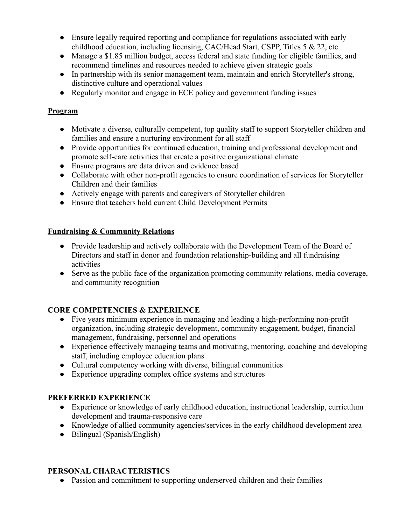- Ensure legally required reporting and compliance for regulations associated with early childhood education, including licensing, CAC/Head Start, CSPP, Titles 5 & 22, etc.
- Manage a \$1.85 million budget, access federal and state funding for eligible families, and recommend timelines and resources needed to achieve given strategic goals
- In partnership with its senior management team, maintain and enrich Storyteller's strong, distinctive culture and operational values
- Regularly monitor and engage in ECE policy and government funding issues

# **Program**

- Motivate a diverse, culturally competent, top quality staff to support Storyteller children and families and ensure a nurturing environment for all staff
- Provide opportunities for continued education, training and professional development and promote self-care activities that create a positive organizational climate
- Ensure programs are data driven and evidence based
- Collaborate with other non-profit agencies to ensure coordination of services for Storyteller Children and their families
- Actively engage with parents and caregivers of Storyteller children
- Ensure that teachers hold current Child Development Permits

# **Fundraising & Community Relations**

- Provide leadership and actively collaborate with the Development Team of the Board of Directors and staff in donor and foundation relationship-building and all fundraising activities
- Serve as the public face of the organization promoting community relations, media coverage, and community recognition

# **CORE COMPETENCIES & EXPERIENCE**

- Five years minimum experience in managing and leading a high-performing non-profit organization, including strategic development, community engagement, budget, financial management, fundraising, personnel and operations
- Experience effectively managing teams and motivating, mentoring, coaching and developing staff, including employee education plans
- Cultural competency working with diverse, bilingual communities
- Experience upgrading complex office systems and structures

### **PREFERRED EXPERIENCE**

- Experience or knowledge of early childhood education, instructional leadership, curriculum development and trauma-responsive care
- Knowledge of allied community agencies/services in the early childhood development area
- Bilingual (Spanish/English)

### **PERSONAL CHARACTERISTICS**

● Passion and commitment to supporting underserved children and their families